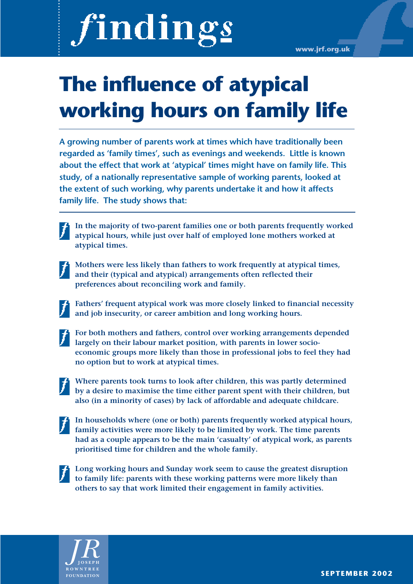# findings

**www.jrf.org.uk**

# **The influence of atypical working hours on family life**

**A growing number of parents work at times which have traditionally been regarded as 'family times', such as evenings and weekends. Little is known about the effect that work at 'atypical' times might have on family life. This study, of a nationally representative sample of working parents, looked at the extent of such working, why parents undertake it and how it affects family life. The study shows that:**

- **In the majority of two-parent families one or both parents frequently worked atypical hours, while just over half of employed lone mothers worked at atypical times.**
- **Mothers were less likely than fathers to work frequently at atypical times, and their (typical and atypical) arrangements often reflected their preferences about reconciling work and family.**
	- **Fathers' frequent atypical work was more closely linked to financial necessity and job insecurity, or career ambition and long working hours.**
- 

**For both mothers and fathers, control over working arrangements depended largely on their labour market position, with parents in lower socioeconomic groups more likely than those in professional jobs to feel they had no option but to work at atypical times.**

- **Where parents took turns to look after children, this was partly determined by a desire to maximise the time either parent spent with their children, but also (in a minority of cases) by lack of affordable and adequate childcare.**
- **In households where (one or both) parents frequently worked atypical hours, family activities were more likely to be limited by work. The time parents had as a couple appears to be the main 'casualty' of atypical work, as parents prioritised time for children and the whole family.**
- 

**Long working hours and Sunday work seem to cause the greatest disruption to family life: parents with these working patterns were more likely than others to say that work limited their engagement in family activities.**



**FOUNDATION SEPTEMBER 2002**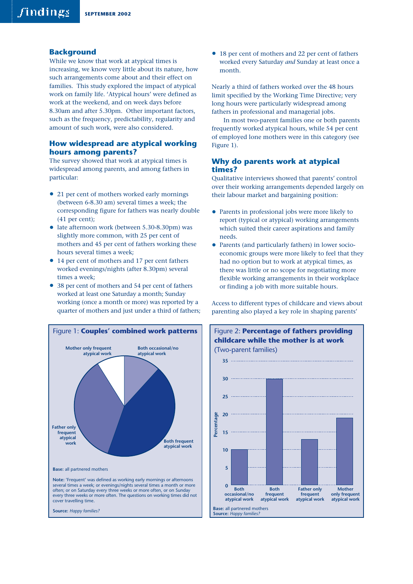# **Background**

While we know that work at atypical times is increasing, we know very little about its nature, how such arrangements come about and their effect on families. This study explored the impact of atypical work on family life. 'Atypical hours' were defined as work at the weekend, and on week days before 8.30am and after 5.30pm. Other important factors, such as the frequency, predictability, regularity and amount of such work, were also considered.

# **How widespread are atypical working hours among parents?**

The survey showed that work at atypical times is widespread among parents, and among fathers in particular:

- 21 per cent of mothers worked early mornings (between 6-8.30 am) several times a week; the corresponding figure for fathers was nearly double (41 per cent);
- late afternoon work (between 5.30-8.30pm) was slightly more common, with 25 per cent of mothers and 45 per cent of fathers working these hours several times a week;
- 14 per cent of mothers and 17 per cent fathers worked evenings/nights (after 8.30pm) several times a week;
- 38 per cent of mothers and 54 per cent of fathers worked at least one Saturday a month; Sunday working (once a month or more) was reported by a quarter of mothers and just under a third of fathers;



**Source:** *Happy families?*

• 18 per cent of mothers and 22 per cent of fathers worked every Saturday *and* Sunday at least once a month.

Nearly a third of fathers worked over the 48 hours limit specified by the Working Time Directive; very long hours were particularly widespread among fathers in professional and managerial jobs.

In most two-parent families one or both parents frequently worked atypical hours, while 54 per cent of employed lone mothers were in this category (see Figure 1).

# **Why do parents work at atypical times?**

Qualitative interviews showed that parents' control over their working arrangements depended largely on their labour market and bargaining position:

- Parents in professional jobs were more likely to report (typical or atypical) working arrangements which suited their career aspirations and family needs.
- Parents (and particularly fathers) in lower socioeconomic groups were more likely to feel that they had no option but to work at atypical times, as there was little or no scope for negotiating more flexible working arrangements in their workplace or finding a job with more suitable hours.

Access to different types of childcare and views about parenting also played a key role in shaping parents'

Figure 2: **Percentage of fathers providing**

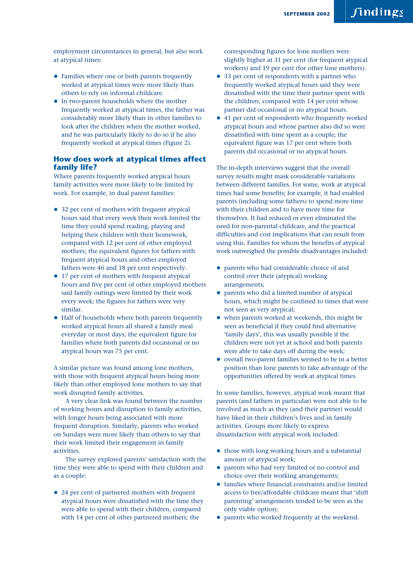employment circumstances in general, but also work at atypical times:

- Families where one or both parents frequently worked at atypical times were more likely than others to rely on informal childcare.
- In two-parent households where the mother frequently worked at atypical times, the father was considerably more likely than in other families to look after the children when the mother worked, and he was particularly likely to do so if he also frequently worked at atypical times (Figure 2).

# **How does work at atypical times affect family life?**

Where parents frequently worked atypical hours family activities were more likely to be limited by work. For example, in dual parent families:

- 32 per cent of mothers with frequent atypical hours said that every week their work limited the time they could spend reading, playing and helping their children with their homework, compared with 12 per cent of other employed mothers; the equivalent figures for fathers with frequent atypical hours and other employed fathers were 46 and 18 per cent respectively.
- 17 per cent of mothers with frequent atypical hours and five per cent of other employed mothers said family outings were limited by their work every week; the figures for fathers were very similar.
- Half of households where both parents frequently worked atypical hours all shared a family meal everyday or most days; the equivalent figure for families where both parents did occasional or no atypical hours was 75 per cent.

A similar picture was found among lone mothers, with those with frequent atypical hours being more likely than other employed lone mothers to say that work disrupted family activities.

A very clear link was found between the number of working hours and disruption to family activities, with longer hours being associated with more frequent disruption. Similarly, parents who worked on Sundays were more likely than others to say that their work limited their engagement in family activities.

The survey explored parents' satisfaction with the time they were able to spend with their children and as a couple:

• 24 per cent of partnered mothers with frequent atypical hours were dissatisfied with the time they were able to spend with their children, compared with 14 per cent of other partnered mothers; the

corresponding figures for lone mothers were slightly higher at 31 per cent (for frequent atypical workers) and 19 per cent (for other lone mothers).

- 33 per cent of respondents with a partner who frequently worked atypical hours said they were dissatisfied with the time their partner spent with the children, compared with 14 per cent whose partner did occasional or no atypical hours.
- 41 per cent of respondents who frequently worked atypical hours and whose partner also did so were dissatisfied with time spent as a couple; the equivalent figure was 17 per cent where both parents did occasional or no atypical hours.

The in-depth interviews suggest that the overall survey results might mask considerable variations between different families. For some, work at atypical times had some benefits; for example, it had enabled parents (including some fathers) to spend more time with their children and to have more time for themselves. It had reduced or even eliminated the need for non-parental childcare, and the practical difficulties and cost implications that can result from using this. Families for whom the benefits of atypical work outweighed the possible disadvantages included:

- parents who had considerable choice of and control over their (atypical) working arrangements;
- parents who did a limited number of atypical hours, which might be confined to times that were not seen as very atypical;
- when parents worked at weekends, this might be seen as beneficial if they could find alternative 'family days', this was usually possible if the children were not yet at school and both parents were able to take days off during the week;
- overall two-parent families seemed to be in a better position than lone parents to take advantage of the opportunities offered by work at atypical times.

In some families, however, atypical work meant that parents (and fathers in particular) were not able to be involved as much as they (and their partner) would have liked in their children's lives and in family activities. Groups more likely to express dissatisfaction with atypical work included:

- those with long working hours and a substantial amount of atypical work;
- parents who had very limited or no control and choice over their working arrangements;
- families where financial constraints and/or limited access to free/affordable childcare meant that 'shift parenting' arrangements tended to be seen as the only viable option;
- parents who worked frequently at the weekend.